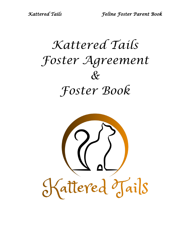# *Kattered Tails Foster Agreement & Foster Book*

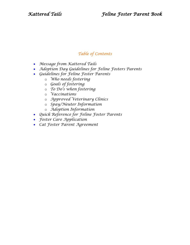#### *Table of Contents*

- *Message from Kattered Tails*
- *Adoption Day Guidelines for Feline Fosters Parents*
- *Guidelines for Feline Foster Parents*
	- o *Who needs fostering*
	- o *Goals of fostering*
	- o *To Do's when fostering*
	- o *Vaccinations*
	- o *Approved Veterinary Clinics*
	- o *Spay/Neuter Information*
	- o *Adoption Information*
- *Quick Reference for Feline Foster Parents*
- *Foster Care Application*
- *Cat Foster Parent Agreement*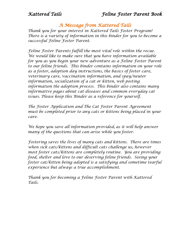#### *A Message from Kattered Tails*

*Thank you for your interest in Kattered Tails Foster Program! There is a variety of information in this binder for you to become a successful Feline Foster Parent.* 

*Feline Foster Parents fulfill the most vital role within the recue. We would like to make sure that you have information available for you as you begin your new adventure as a Feline Foster Parent to our feline friends. This binder contains information on your role as a foster, adoption day instructions, the basics of foster care, veterinary care, vaccination information, and spay/neuter information, socialization of a cat or kitten, web posting information the adoption process. This binder also contains many informative pages about cat diseases and common everyday cat issues. Please keep this Binder as a reference for yourself.* 

*The Foster Application and The Cat Foster Parent Agreement must be completed prior to any cats or kittens being placed in your care.*

*We hope you save all information provided, as it will help answer many of the questions that can arise while you foster.* 

*Fostering saves the lives of many cats and kittens. There are times when sick cats/kittens and difficult cats challenge us, however most foster cats/kittens are completely routine. You are providing food, shelter and love to our deserving feline friends. Seeing your foster cat/kitten being adopted is a satisfying and sometime tearful experience but always a true accomplishment.*

*Thank you for becoming a Feline Foster Parent with Kattered Tails.*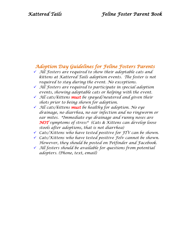#### *Adoption Day Guidelines for Feline Fosters Parents*

- *All Fosters are required to show their adoptable cats and kittens at Kattered Tails adoption events. The foster is not required to stay during the event. No exceptions.*
- *All Fosters are required to participate in special adoption events, showing adoptable cats or helping with the event.*
- *All cats/kittens must be spayed/neutered and given their shots prior to being shown for adoption.*
- *All cats/kittens must be healthy for adoption. No eye drainage, no diarrhea, no ear infection and no ringworm or ear mites. \*Immediate eye drainage and runny noses are NOT symptoms of stress\* (Cats & Kittens can develop loose stools after adoptions, that is not diarrhea)*
- *Cats/Kittens who have tested positive for FIV can be shown.*
- *Cats/Kittens who have tested positive Felv cannot be shown. However, they should be posted on Petfinder and Facebook.*
- *All fosters should be available for questions from potential adopters. (Phone, text, email)*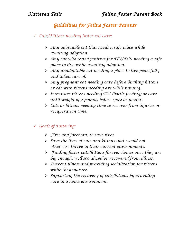## *Guidelines for Feline Foster Parents*

- *Cats/Kittens needing foster cat care:*
	- *Any adoptable cat that needs a safe place while awaiting adoption.*
	- *Any cat who tested positive for FIV/Felv needing a safe place to live while awaiting adoption.*
	- *Any unadoptable cat needing a place to live peacefully and taken care of.*
	- *Any pregnant cat needing care before birthing kittens or cat with kittens needing are while nursing.*
	- *Immature kittens needing TLC (bottle feeding) or care until weight of 2 pounds before spay or neuter.*
	- *Cats or kittens needing time to recover from injuries or recuperation time.*

#### *Goals of Fostering:*

- *First and foremost, to save lives.*
- *Save the lives of cats and kittens that would not otherwise thrive in their current environments.*
- *Finding foster cats/kittens forever homes once they are big enough, well socialized or recovered from illness.*
- *Prevent illness and providing socialization for kittens while they mature.*
- *Supporting the recovery of cats/kittens by providing care in a home environment.*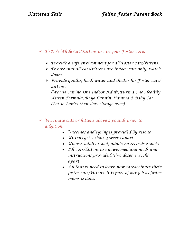#### *To Do's While Cat/Kittens are in your Foster care:*

- *Provide a safe environment for all Foster cats/kittens.*
- *Ensure that all cats/kittens are indoor cats only, watch doors.*
- *Provide quality food, water and shelter for Foster cats/ kittens.*

*(We use Purina One Indoor Adult, Purina One Healthy Kitten Formula, Roya Cannin Mamma & Baby Cat (Bottle Babies then slow change over).*

#### *Vaccinate cats or kittens above 2 pounds prior to adoption.*

- *Vaccines and syringes provided by rescue*
- *Kittens get 2 shots 4 weeks apart*
- *Known adults 1 shot, adults no records 2 shots*
- *All cats/kittens are dewormed and meds and instructions provided. Two doses 3 weeks apart.*
- *All fosters need to learn how to vaccinate their foster cats/kittens. It is part of our job as foster moms & dads.*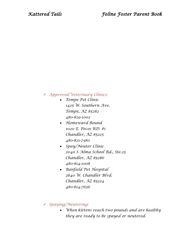#### *Approved Veterinary Clinics:*

- *Tempe Pet Clinic 1425 W. Southern Ave. Tempe, AZ 85282 480-829-1002*
- *Homeward Bound 1020 E. Pecos RD. #1 Chandler, AZ 85225 480-821-7380*
- *Spay/Neuter Clinic 2040 S Alma School Rd., Ste.25 Chandler, AZ 85286 480-814-1008*
- *Banfield Pet Hospital 2840 W. Chandler Blvd. Chandler, AZ 85224 480-814-7636*
- *Spaying/Neutering:* 
	- *When kittens reach two pounds and are healthy they are ready to be spayed or neutered.*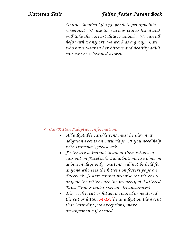#### *Kattered Tails Feline Foster Parent Book*

*Contact Monica (480-751-9688) to get appoints scheduled. We use the various clinics listed and will take the earliest date available. We can all help with transport, we work as a group. Cats who have weaned her kittens and healthy adult cats can be scheduled as well.*

#### *Cat/Kitten Adoption Information:*

- *All adoptable cats/kittens must be shown at adoption events on Saturdays. IF you need help with transport, please ask.*
- *Foster are asked not to adopt their kittens or cats out on Facebook. All adoptions are done on adoption days only. Kittens will not be held for anyone who sees the kittens on fosters page on Facebook. Fosters cannot promise the kittens to anyone the kittens are the property of Kattered Tails. (Unless under special circumstances)*
- *The week a cat or kitten is spayed or neutered the cat or kitten MUST be at adoption the event that Saturday , no exceptions, make arrangements if needed.*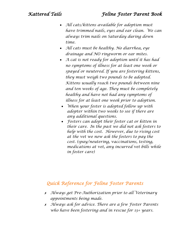- *All cats/kittens available for adoption must have trimmed nails, eyes and ear clean. We can always trim nails on Saturday during down time.*
- *All cats must be healthy. No diarrhea, eye drainage and NO ringworm or ear mites.*
- *A cat is not ready for adoption until it has had no symptoms of illness for at least one week or spayed or neutered. If you are fostering kittens, they must weigh two pounds to be adopted. Kittens usually reach two pounds between nine and ten weeks of age. They must be completely healthy and have not had any symptoms of illness for at least one week prior to adoption.*
- *When your foster is adopted follow up with adopter within two weeks to see if there are any additional questions.*
- *Fosters can adopt their foster cat or kitten in their care. In the past we did not ask fosters to help with the cost. However, due to rising cost at the vet we now ask the fosters to pay the cost. (spay/neutering, vaccinations, testing, medications at vet, any incurred vet bills while in foster care)*

### *Quick Reference for Feline Foster Parents*

- ✗ *Always get Pre-Authorization prior to all Veterinary appointments being made.*
- ✗ *Always ask for advice. There are a few Foster Parents who have been fostering and in rescue for 13+ years.*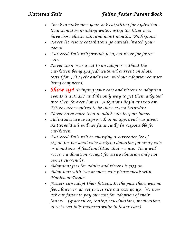- ✗ *Check to make sure your sick cat/kitten for hydration they should be drinking water, using the litter box, have loose elastic skin and moist mouths. (Pink Gums)*
- ✗ *Never let rescue cats/kittens go outside. Watch your doors!*
- ✗ *Kattered Tails will provide food, cat litter for foster cats.*
- ✗ *Never turn over a cat to an adopter without the cat/kitten being spayed/neutered, current on shots, tested for FIV/Felv and never without adoption contact being completed,*
- ✗ *Show up! Bringing your cats and kittens to adoption events is a MUST and the only way to get them adopted into their forever homes. Adoptions begin at 11:00 am. Kittens are required to be there every Saturday.*
- ✗ *Never have more then 10 adult cats in your home.*
- ✗ *All intakes are to approved; in no approval was given Kattered Tails will not financially be responsible for cat/kitten.*
- ✗ *Kattered Tails will be charging a surrender fee of \$85.00 for personal cats; a \$65.00 donation for stray cats or donations of food and litter that we use. They will receive a donation reciept for stray donation only not owner surrender.*
- ✗ *Adoptions fees for adults and kittens is \$175.00.*
- ✗ *Adoptions with two or more cats please speak with Monica or Taylor.*
- ✗ *Fosters can adopt their kittens. In the past there was no fee. However, as vet prices rise our cost go up. We now ask our foster to pay our cost for adoption of their fosters. (spy/neuter, testing, vaccinations, medications at vets, vet bills incurred while in foster care)*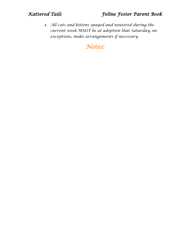✗ *All cats and kittens spayed and neutered during the current week MUST be at adoption that Saturday, no exceptions, make arrangements if necessary.*

*Notes:*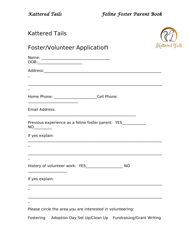*Kattered Tails Feline Foster Parent Book*

| <b>Kattered Tails</b>                                                                                            |                |
|------------------------------------------------------------------------------------------------------------------|----------------|
| Foster/Volunteer Application                                                                                     | Kattered Tails |
|                                                                                                                  |                |
|                                                                                                                  |                |
| <u> 1989 - John Stone, amerikansk politiker (* 1989)</u>                                                         |                |
|                                                                                                                  |                |
| Home Phone: ________________________Cell Phone:                                                                  |                |
|                                                                                                                  |                |
|                                                                                                                  |                |
|                                                                                                                  |                |
|                                                                                                                  |                |
|                                                                                                                  |                |
| <b>Email Address:</b><br>Previous experience as a feline foster parent: YES____________<br>NO<br>If yes explain: |                |
| History of volunteer work: YES<br><b>NO</b>                                                                      |                |
| If yes explain:                                                                                                  |                |
|                                                                                                                  |                |

Fostering Adoption Day Set Up/Clean Up Fundraising/Grant Writing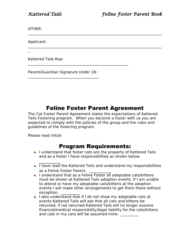OTHER:

Applicant:

 $\overline{\phantom{a}}$ 

Kattered Tails Rep:

Parent/Guardian Signature Under 18:  $\mathcal{L}_\text{max}$  and  $\mathcal{L}_\text{max}$  and  $\mathcal{L}_\text{max}$  and  $\mathcal{L}_\text{max}$ 

 $\mathcal{L}_\text{max} = \mathcal{L}_\text{max} = \mathcal{L}_\text{max} = \mathcal{L}_\text{max} = \mathcal{L}_\text{max} = \mathcal{L}_\text{max} = \mathcal{L}_\text{max} = \mathcal{L}_\text{max} = \mathcal{L}_\text{max} = \mathcal{L}_\text{max} = \mathcal{L}_\text{max} = \mathcal{L}_\text{max} = \mathcal{L}_\text{max} = \mathcal{L}_\text{max} = \mathcal{L}_\text{max} = \mathcal{L}_\text{max} = \mathcal{L}_\text{max} = \mathcal{L}_\text{max} = \mathcal{$ 

# Feline Foster Parent Agreement

 $\mathcal{L}_\text{max} = \mathcal{L}_\text{max} = \mathcal{L}_\text{max} = \mathcal{L}_\text{max} = \mathcal{L}_\text{max} = \mathcal{L}_\text{max} = \mathcal{L}_\text{max} = \mathcal{L}_\text{max} = \mathcal{L}_\text{max} = \mathcal{L}_\text{max} = \mathcal{L}_\text{max} = \mathcal{L}_\text{max} = \mathcal{L}_\text{max} = \mathcal{L}_\text{max} = \mathcal{L}_\text{max} = \mathcal{L}_\text{max} = \mathcal{L}_\text{max} = \mathcal{L}_\text{max} = \mathcal{$ 

 $\mathcal{L}_\text{max} = \mathcal{L}_\text{max} = \mathcal{L}_\text{max} = \mathcal{L}_\text{max} = \mathcal{L}_\text{max} = \mathcal{L}_\text{max} = \mathcal{L}_\text{max} = \mathcal{L}_\text{max} = \mathcal{L}_\text{max} = \mathcal{L}_\text{max} = \mathcal{L}_\text{max} = \mathcal{L}_\text{max} = \mathcal{L}_\text{max} = \mathcal{L}_\text{max} = \mathcal{L}_\text{max} = \mathcal{L}_\text{max} = \mathcal{L}_\text{max} = \mathcal{L}_\text{max} = \mathcal{$ 

The Cat Foster Parent Agreement states the expectations of Kattered Tails Fostering program. When you become a foster with us you are expected to comply with the policies of the group and the rules and guidelines of the fostering program.

Please read initial:

 $\overline{\mathcal{L}}$ 

### Program Requirements:

- $\downarrow$  I understand that foster cats are the property of Kattered Tails and as a foster I have responsibilities as shown below.
- $\overline{1}$  Thave read the Kattered Tails and understand my responsibilities as a Feline Foster Parent.
- $\perp$  I understand that as a Feline Foster all adoptable cats/kittens must be shown at Kattered Tails adoption events. If I am unable to attend or have my adoptable cats/kittens at the adoption events I will make other arrangements to get them there without exception.
- $\downarrow$  I also understand that if I do not show my adoptable cats at events Kattered Tails will ask that all cats and kittens be returned; if not returned Kattered Tails will no longer assume financial/medical responsibility/legal liability for the cats/kittens and cats in my care will be assumed mine.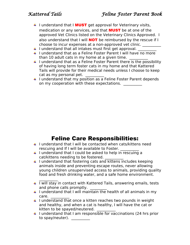- $\blacksquare$  I understand that I **MUST** get approval for Veterinary visits, medication or any services, and that **MUST** be at one of the approved Vet Clinics listed on the Veterinary Clinics Approved. I also understand that I will **NOT** be reimbursed by the rescue if I choose to incur expenses at a non-approved vet clinic. \_\_\_\_\_\_\_\_\_\_
- $\perp$  I understand that all intakes must first get approval.
- I understand that as a Feline Foster Parent I will have no more than 10 adult cats in my home at a given time.
- $\perp$  I understand that as a Feline Foster Parent there is the possibility of having long term foster cats in my home and that Kattered Tails will provide for their medical needs unless I choose to keep cat as my personal pet.
- **4** I understand that my position as a Feline Foster Parent depends on my cooperation with these expectations.

# Feline Care Responsibilities:

- $\ddot{\phantom{1}}$  I understand that I will be contacted when cats/kittens need rescuing and If I will be available to Foster.
- $\downarrow$  I understand that I could be asked to help in rescuing a cat/kittens needing to be fostered.
- $\downarrow$  I understand that fostering cats and kittens includes keeping animals inside and preventing escape routes, never allowing young children unsupervised access to animals, providing quality food and fresh drinking water, and a safe home environment.
- $\frac{1}{2}$  $\downarrow$  I will stay in contact with Kattered Tails, answering emails, tests and phone calls promptly.
- $\downarrow$  I understand that I will maintain the health of all animals in my care. \_\_\_\_\_\_\_\_\_\_
- $\downarrow$  I understand that once a kitten reaches two pounds in weight and healthy, and when a cat is healthy, I will have the cat or kitten to be spayed/neutered.
- $\ddotmark$  I understand that I am responsible for vaccinations (24 hrs prior to spay/neuter). \_\_\_\_\_\_\_\_\_\_